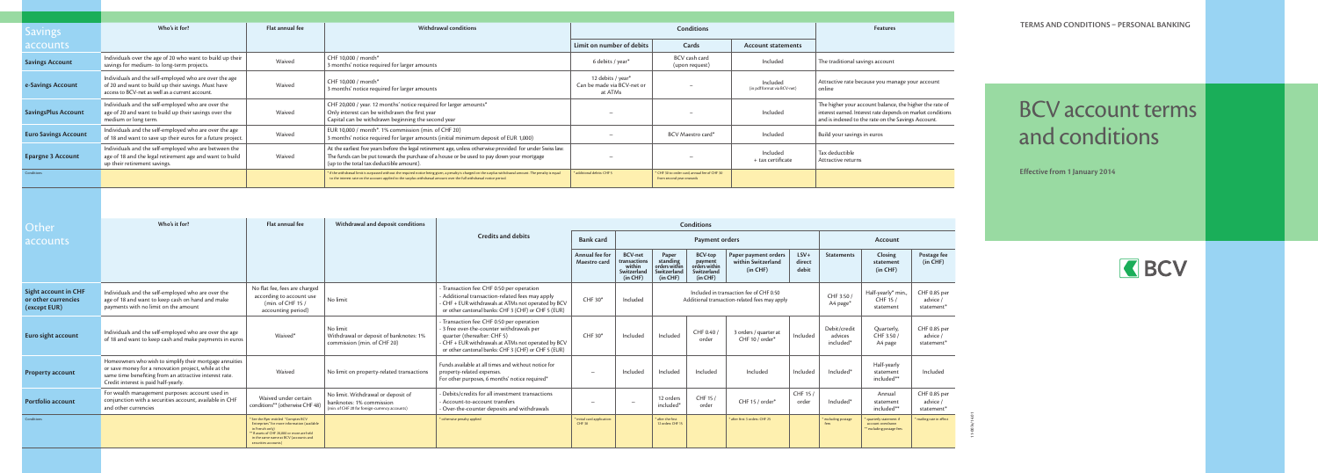

## BCV account terms and conditions

**TERMS AND CONDITIONS PERSONAL BANKING**

| <b>Savings</b>                                                     | Who's it for?                                                                                                                                                                                                      | Flat annual fee                                                                                                                                                                                                          | Withdrawal conditions                                                                                                                                                                                                                                                               | Conditions                                                                                                                                                                                                                        |                                                    |                                                            |                                        |                                                                     |                                                                                          |                                      | <b>Features</b>                      |                                                                                                                                                                              |                                                    | <b>TERMS AND CONDITIONS - PERSONAL BANKIN</b> |                                      |      |
|--------------------------------------------------------------------|--------------------------------------------------------------------------------------------------------------------------------------------------------------------------------------------------------------------|--------------------------------------------------------------------------------------------------------------------------------------------------------------------------------------------------------------------------|-------------------------------------------------------------------------------------------------------------------------------------------------------------------------------------------------------------------------------------------------------------------------------------|-----------------------------------------------------------------------------------------------------------------------------------------------------------------------------------------------------------------------------------|----------------------------------------------------|------------------------------------------------------------|----------------------------------------|---------------------------------------------------------------------|------------------------------------------------------------------------------------------|--------------------------------------|--------------------------------------|------------------------------------------------------------------------------------------------------------------------------------------------------------------------------|----------------------------------------------------|-----------------------------------------------|--------------------------------------|------|
| accounts                                                           |                                                                                                                                                                                                                    |                                                                                                                                                                                                                          |                                                                                                                                                                                                                                                                                     |                                                                                                                                                                                                                                   | Limit on number of debits                          |                                                            |                                        | Cards                                                               | <b>Account statements</b>                                                                |                                      |                                      |                                                                                                                                                                              |                                                    |                                               |                                      |      |
| <b>Savings Account</b>                                             | Individuals over the age of 20 who want to build up their<br>savings for medium- to long-term projects.                                                                                                            | Waived                                                                                                                                                                                                                   | CHF 10,000 / month*<br>3 months' notice required for larger amounts                                                                                                                                                                                                                 |                                                                                                                                                                                                                                   |                                                    | 6 debits / year*                                           |                                        | BCV cash card<br>(upon request)                                     | Included                                                                                 |                                      | The traditional savings account      |                                                                                                                                                                              |                                                    |                                               |                                      |      |
| e-Savings Account                                                  | Individuals and the self-employed who are over the age<br>of 20 and want to build up their savings. Must have<br>access to BCV-net as well as a current account.                                                   | Waived                                                                                                                                                                                                                   | CHF 10,000 / month*<br>3 months' notice required for larger amounts                                                                                                                                                                                                                 |                                                                                                                                                                                                                                   |                                                    | 12 debits / year*<br>Can be made via BCV-net or<br>at ATMs |                                        |                                                                     | Included<br>(in pdf format via BCV-net)                                                  |                                      | online                               | Attractive rate because you manage your account                                                                                                                              |                                                    |                                               |                                      |      |
| <b>SavingsPlus Account</b>                                         | Individuals and the self-employed who are over the<br>age of 20 and want to build up their savings over the<br>medium or long term.                                                                                | Waived                                                                                                                                                                                                                   | CHF 20,000 / year. 12 months' notice required for larger amounts*<br>Only interest can be withdrawn the first year<br>Capital can be withdrawn beginning the second year                                                                                                            |                                                                                                                                                                                                                                   |                                                    |                                                            |                                        |                                                                     | Included                                                                                 |                                      |                                      | The higher your account balance, the higher the rate of<br>interest earned. Interest rate depends on market conditions<br>and is indexed to the rate on the Savings Account. |                                                    |                                               | <b>BCV</b> account term              |      |
| <b>Euro Savings Account</b>                                        | Individuals and the self-employed who are over the age<br>of 18 and want to save up their euros for a future project.                                                                                              | Waived                                                                                                                                                                                                                   | EUR 10,000 / month*. 1% commission (min. of CHF 20)<br>3 months' notice required for larger amounts (initial minimum deposit of EUR 1,000)                                                                                                                                          |                                                                                                                                                                                                                                   |                                                    | $\overline{\phantom{0}}$                                   | Included<br>BCV Maestro card*          |                                                                     |                                                                                          | Build your savings in euros          |                                      |                                                                                                                                                                              |                                                    | and conditions                                |                                      |      |
| <b>Epargne 3 Account</b>                                           | Individuals and the self-employed who are between the<br>age of 18 and the legal retirement age and want to build<br>up their retirement savings.                                                                  | Waived                                                                                                                                                                                                                   | At the earliest five years before the legal retirement age, unless otherwise provided for under Swiss law.<br>The funds can be put towards the purchase of a house or be used to pay down your mortgage<br>(up to the total tax deductible amount).                                 |                                                                                                                                                                                                                                   |                                                    |                                                            | Included<br>+ tax certificate          |                                                                     |                                                                                          | Tax deductible<br>Attractive returns |                                      |                                                                                                                                                                              |                                                    |                                               |                                      |      |
| Conditions                                                         |                                                                                                                                                                                                                    |                                                                                                                                                                                                                          | f if the withdrawal limit is surpassed without the required notice being given, a penalty is charged on the surplus withdrawal amount. The penalty is equal<br>to the interest rate on the account applied to the surplus withdrawal amount over the full withdrawal notice period. |                                                                                                                                                                                                                                   | additional debits: CHF 5                           |                                                            | from second year onwards               | 'CHF 30 to order card; annual fee of CHF 30                         |                                                                                          |                                      |                                      |                                                                                                                                                                              |                                                    |                                               | <b>Effective from 1 January 2014</b> |      |
| Other<br>accounts                                                  | Who's it for?                                                                                                                                                                                                      | Flat annual fee                                                                                                                                                                                                          | Withdrawal and deposit conditions                                                                                                                                                                                                                                                   | <b>Credits and debits</b>                                                                                                                                                                                                         | <b>Bank card</b><br>Annual fee for<br>Maestro card | <b>BCV-net</b><br>transactions<br>within                   | Paper<br>standing<br>orders within     | Conditions<br>Payment orders<br>BCV-top<br>payment<br>orders within | Paper payment orders<br>within Switzerland                                               | $LSV+$<br>direct                     | <b>Statements</b>                    | Account<br>Closing<br>statement                                                                                                                                              | Postage fee<br>(in CHF)                            |                                               |                                      | KBCV |
|                                                                    |                                                                                                                                                                                                                    |                                                                                                                                                                                                                          |                                                                                                                                                                                                                                                                                     |                                                                                                                                                                                                                                   |                                                    | Switzerland<br>(in CHF)                                    | Switzerland<br>(in CHF)                | Switzerland<br>(in CHF)                                             | (in CHF)                                                                                 | debit                                |                                      | (in CHF)                                                                                                                                                                     |                                                    |                                               |                                      |      |
| <b>Sight account in CHF</b><br>or other currencies<br>(except EUR) | Individuals and the self-employed who are over the<br>age of 18 and want to keep cash on hand and make<br>payments with no limit on the amount                                                                     | No flat fee, fees are charged<br>according to account use<br>(min. of CHF 15 /<br>accounting period)                                                                                                                     | No limit                                                                                                                                                                                                                                                                            | - Transaction fee: CHF 0.50 per operation<br>Additional transaction-related fees may apply<br>- CHF + EUR withdrawals at ATMs not operated by BCV<br>or other cantonal banks: CHF 3 (CHF) or CHF 5 (EUR)                          | CHF 30*                                            | Included                                                   |                                        |                                                                     | Included in transaction fee of CHF 0.50<br>Additional transaction-related fees may apply |                                      | CHF 3.50<br>A4 page*                 | Half-yearly* min.<br>CHF 15 /<br>statement                                                                                                                                   | CHF 0.85 per<br>advice /<br>statement*             |                                               |                                      |      |
| Euro sight account                                                 | Individuals and the self-employed who are over the age<br>of 18 and want to keep cash and make payments in euros                                                                                                   | Waived*                                                                                                                                                                                                                  | No limit<br>Withdrawal or deposit of banknotes: 1%<br>commission (min. of CHF 20)                                                                                                                                                                                                   | Transaction fee: CHF 0.50 per operation<br>- 3 free over-the-counter withdrawals per<br>quarter (thereafter: CHF 5)<br>- CHF + EUR withdrawals at ATMs not operated by BCV<br>or other cantonal banks: CHF 3 (CHF) or CHF 5 (EUR) | CHF 30*                                            | Included                                                   | Included                               | CHF 0.40<br>order                                                   | 3 orders / quarter at<br>CHF 10 / order*                                                 | Included                             | Debit/credit<br>advices<br>included* | Quarterly,<br>CHF 3.50<br>A4 page                                                                                                                                            | CHF 0.85 per<br>advice /<br>statement*             |                                               |                                      |      |
| <b>Property account</b>                                            | Homeowners who wish to simplify their mortgage annuities<br>or save money for a renovation project, while at the<br>same time benefiting from an attractive interest rate.<br>Credit interest is paid half-yearly. | Waived                                                                                                                                                                                                                   | No limit on property-related transactions                                                                                                                                                                                                                                           | Funds available at all times and without notice for<br>property-related expenses.<br>For other purposes, 6 months' notice required*                                                                                               |                                                    | Included                                                   |                                        | Included   Included                                                 | Included                                                                                 |                                      | Included   Included*                 | Half-yearly<br>statemen<br>included**                                                                                                                                        | Included                                           |                                               |                                      |      |
| Portfolio account                                                  | For wealth management purposes: account used in<br>conjunction with a securities account, available in CHF<br>and other currencies                                                                                 | Waived under certain<br>conditions** (otherwise CHF 48)                                                                                                                                                                  | No limit. Withdrawal or deposit of<br>banknotes: 1% commission<br>(min. of CHF 20 for foreign-currency accounts)                                                                                                                                                                    | - Debits/credits for all investment transactions<br>Account-to-account transfers<br>- Over-the-counter deposits and withdrawals                                                                                                   | $\qquad \qquad -$                                  | $\hspace{0.1mm}-\hspace{0.1mm}$                            | 12 orders<br>included*                 | CHF 15 /<br>order                                                   | CHF 15 / order*                                                                          | CHF 15 /<br>order                    | Included*                            | Annual<br>statement<br>included**                                                                                                                                            | CHF 0.85 per<br>advice /<br>statement <sup>*</sup> |                                               |                                      |      |
| Conditions                                                         |                                                                                                                                                                                                                    | * See the flyer entitled "Comptes BCV<br>Entreprises" for more information (available<br>in French only)<br>** If assets of CHF 20,000 or more are held<br>in the same name at BCV (accounts and<br>securities accounts) |                                                                                                                                                                                                                                                                                     | otherwise penalty applied                                                                                                                                                                                                         | * initial card application:<br><b>CHF 30</b>       |                                                            | * after the first<br>12 orders: CHF 15 |                                                                     | * after first 3 orders: CHF 25                                                           |                                      | * excluding postage                  | quarterly statement if<br>account overdrawn<br>* excluding postage fees                                                                                                      | mailing rate in effect                             |                                               |                                      |      |